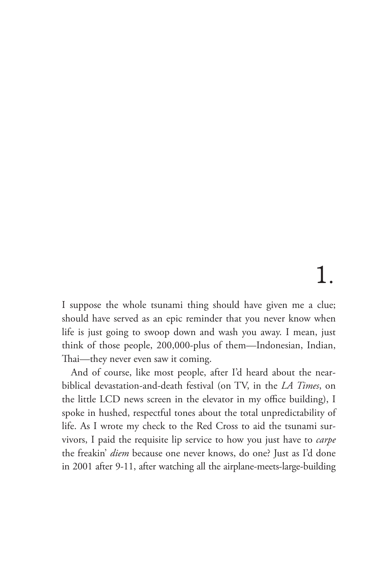## 1.

I suppose the whole tsunami thing should have given me a clue; should have served as an epic reminder that you never know when life is just going to swoop down and wash you away. I mean, just think of those people, 200,000-plus of them—Indonesian, Indian, Thai—they never even saw it coming.

And of course, like most people, after I'd heard about the nearbiblical devastation-and-death festival (on TV, in the *LA Times*, on the little LCD news screen in the elevator in my office building), I spoke in hushed, respectful tones about the total unpredictability of life. As I wrote my check to the Red Cross to aid the tsunami survivors, I paid the requisite lip service to how you just have to *carpe* the freakin' *diem* because one never knows, do one? Just as I'd done in 2001 after 9-11, after watching all the airplane-meets-large-building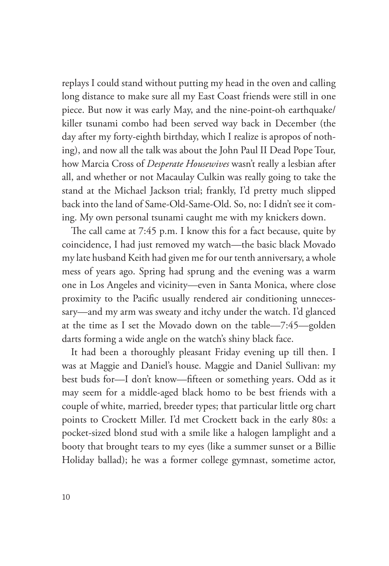replays I could stand without putting my head in the oven and calling long distance to make sure all my East Coast friends were still in one piece. But now it was early May, and the nine-point-oh earthquake/ killer tsunami combo had been served way back in December (the day after my forty-eighth birthday, which I realize is apropos of nothing), and now all the talk was about the John Paul II Dead Pope Tour, how Marcia Cross of *Desperate Housewives* wasn't really a lesbian after all, and whether or not Macaulay Culkin was really going to take the stand at the Michael Jackson trial; frankly, I'd pretty much slipped back into the land of Same-Old-Same-Old. So, no: I didn't see it coming. My own personal tsunami caught me with my knickers down.

The call came at 7:45 p.m. I know this for a fact because, quite by coincidence, I had just removed my watch—the basic black Movado my late husband Keith had given me for our tenth anniversary, a whole mess of years ago. Spring had sprung and the evening was a warm one in Los Angeles and vicinity—even in Santa Monica, where close proximity to the Pacific usually rendered air conditioning unnecessary—and my arm was sweaty and itchy under the watch. I'd glanced at the time as I set the Movado down on the table—7:45—golden darts forming a wide angle on the watch's shiny black face.

It had been a thoroughly pleasant Friday evening up till then. I was at Maggie and Daniel's house. Maggie and Daniel Sullivan: my best buds for—I don't know—fifteen or something years. Odd as it may seem for a middle-aged black homo to be best friends with a couple of white, married, breeder types; that particular little org chart points to Crockett Miller. I'd met Crockett back in the early 80s: a pocket-sized blond stud with a smile like a halogen lamplight and a booty that brought tears to my eyes (like a summer sunset or a Billie Holiday ballad); he was a former college gymnast, sometime actor,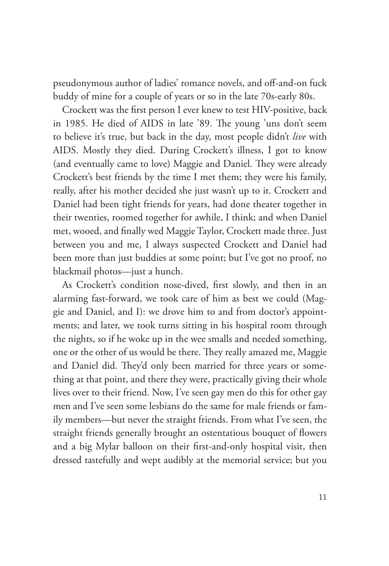pseudonymous author of ladies' romance novels, and off-and-on fuck buddy of mine for a couple of years or so in the late 70s-early 80s.

Crockett was the first person I ever knew to test HIV-positive, back in 1985. He died of AIDS in late '89. The young 'uns don't seem to believe it's true, but back in the day, most people didn't *live* with AIDS. Mostly they died. During Crockett's illness, I got to know (and eventually came to love) Maggie and Daniel. They were already Crockett's best friends by the time I met them; they were his family, really, after his mother decided she just wasn't up to it. Crockett and Daniel had been tight friends for years, had done theater together in their twenties, roomed together for awhile, I think; and when Daniel met, wooed, and finally wed Maggie Taylor, Crockett made three. Just between you and me, I always suspected Crockett and Daniel had been more than just buddies at some point; but I've got no proof, no blackmail photos—just a hunch.

As Crockett's condition nose-dived, first slowly, and then in an alarming fast-forward, we took care of him as best we could (Maggie and Daniel, and I): we drove him to and from doctor's appointments; and later, we took turns sitting in his hospital room through the nights, so if he woke up in the wee smalls and needed something, one or the other of us would be there. They really amazed me, Maggie and Daniel did. They'd only been married for three years or something at that point, and there they were, practically giving their whole lives over to their friend. Now, I've seen gay men do this for other gay men and I've seen some lesbians do the same for male friends or family members—but never the straight friends. From what I've seen, the straight friends generally brought an ostentatious bouquet of flowers and a big Mylar balloon on their first-and-only hospital visit, then dressed tastefully and wept audibly at the memorial service; but you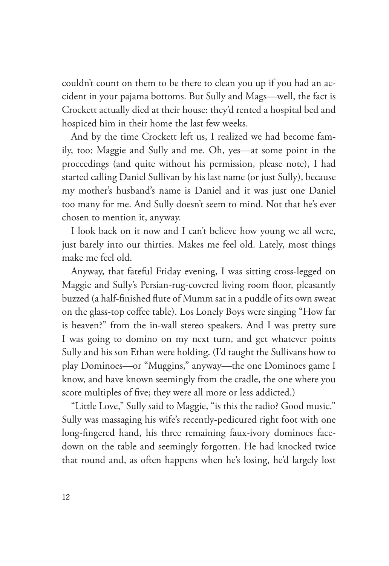couldn't count on them to be there to clean you up if you had an accident in your pajama bottoms. But Sully and Mags—well, the fact is Crockett actually died at their house: they'd rented a hospital bed and hospiced him in their home the last few weeks.

And by the time Crockett left us, I realized we had become family, too: Maggie and Sully and me. Oh, yes—at some point in the proceedings (and quite without his permission, please note), I had started calling Daniel Sullivan by his last name (or just Sully), because my mother's husband's name is Daniel and it was just one Daniel too many for me. And Sully doesn't seem to mind. Not that he's ever chosen to mention it, anyway.

I look back on it now and I can't believe how young we all were, just barely into our thirties. Makes me feel old. Lately, most things make me feel old.

Anyway, that fateful Friday evening, I was sitting cross-legged on Maggie and Sully's Persian-rug-covered living room floor, pleasantly buzzed (a half-finished flute of Mumm sat in a puddle of its own sweat on the glass-top coffee table). Los Lonely Boys were singing "How far is heaven?" from the in-wall stereo speakers. And I was pretty sure I was going to domino on my next turn, and get whatever points Sully and his son Ethan were holding. (I'd taught the Sullivans how to play Dominoes—or "Muggins," anyway—the one Dominoes game I know, and have known seemingly from the cradle, the one where you score multiples of five; they were all more or less addicted.)

"Little Love," Sully said to Maggie, "is this the radio? Good music." Sully was massaging his wife's recently-pedicured right foot with one long-fingered hand, his three remaining faux-ivory dominoes facedown on the table and seemingly forgotten. He had knocked twice that round and, as often happens when he's losing, he'd largely lost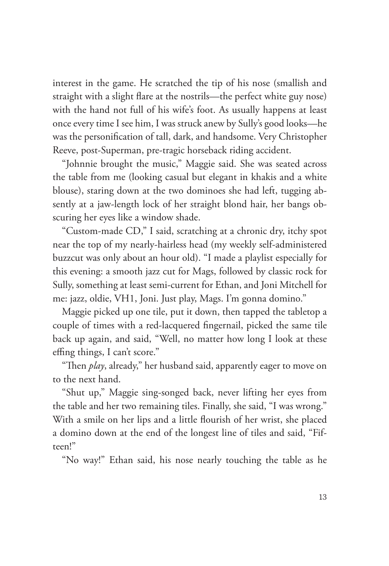interest in the game. He scratched the tip of his nose (smallish and straight with a slight flare at the nostrils—the perfect white guy nose) with the hand not full of his wife's foot. As usually happens at least once every time I see him, I was struck anew by Sully's good looks—he was the personification of tall, dark, and handsome. Very Christopher Reeve, post-Superman, pre-tragic horseback riding accident.

"Johnnie brought the music," Maggie said. She was seated across the table from me (looking casual but elegant in khakis and a white blouse), staring down at the two dominoes she had left, tugging absently at a jaw-length lock of her straight blond hair, her bangs obscuring her eyes like a window shade.

"Custom-made CD," I said, scratching at a chronic dry, itchy spot near the top of my nearly-hairless head (my weekly self-administered buzzcut was only about an hour old). "I made a playlist especially for this evening: a smooth jazz cut for Mags, followed by classic rock for Sully, something at least semi-current for Ethan, and Joni Mitchell for me: jazz, oldie, VH1, Joni. Just play, Mags. I'm gonna domino."

Maggie picked up one tile, put it down, then tapped the tabletop a couple of times with a red-lacquered fingernail, picked the same tile back up again, and said, "Well, no matter how long I look at these effing things, I can't score."

"Then *play*, already," her husband said, apparently eager to move on to the next hand.

"Shut up," Maggie sing-songed back, never lifting her eyes from the table and her two remaining tiles. Finally, she said, "I was wrong." With a smile on her lips and a little flourish of her wrist, she placed a domino down at the end of the longest line of tiles and said, "Fifteen!"

"No way!" Ethan said, his nose nearly touching the table as he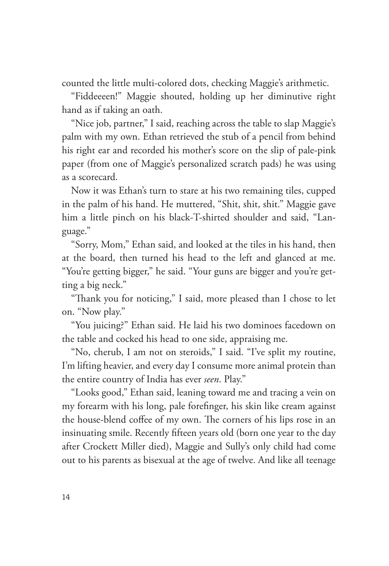counted the little multi-colored dots, checking Maggie's arithmetic.

"Fiddeeeen!" Maggie shouted, holding up her diminutive right hand as if taking an oath.

"Nice job, partner," I said, reaching across the table to slap Maggie's palm with my own. Ethan retrieved the stub of a pencil from behind his right ear and recorded his mother's score on the slip of pale-pink paper (from one of Maggie's personalized scratch pads) he was using as a scorecard.

Now it was Ethan's turn to stare at his two remaining tiles, cupped in the palm of his hand. He muttered, "Shit, shit, shit." Maggie gave him a little pinch on his black-T-shirted shoulder and said, "Language."

"Sorry, Mom," Ethan said, and looked at the tiles in his hand, then at the board, then turned his head to the left and glanced at me. "You're getting bigger," he said. "Your guns are bigger and you're getting a big neck."

"Thank you for noticing," I said, more pleased than I chose to let on. "Now play."

"You juicing?" Ethan said. He laid his two dominoes facedown on the table and cocked his head to one side, appraising me.

"No, cherub, I am not on steroids," I said. "I've split my routine, I'm lifting heavier, and every day I consume more animal protein than the entire country of India has ever *seen*. Play."

"Looks good," Ethan said, leaning toward me and tracing a vein on my forearm with his long, pale forefinger, his skin like cream against the house-blend coffee of my own. The corners of his lips rose in an insinuating smile. Recently fifteen years old (born one year to the day after Crockett Miller died), Maggie and Sully's only child had come out to his parents as bisexual at the age of twelve. And like all teenage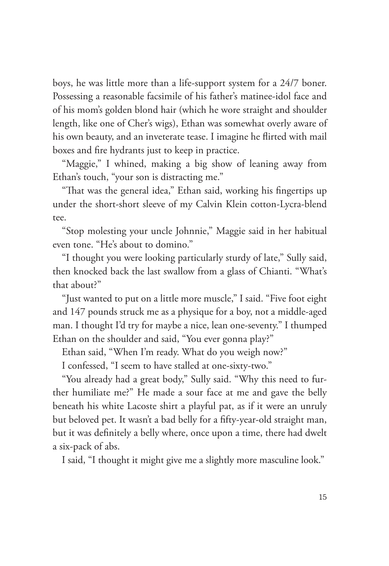boys, he was little more than a life-support system for a 24/7 boner. Possessing a reasonable facsimile of his father's matinee-idol face and of his mom's golden blond hair (which he wore straight and shoulder length, like one of Cher's wigs), Ethan was somewhat overly aware of his own beauty, and an inveterate tease. I imagine he flirted with mail boxes and fire hydrants just to keep in practice.

"Maggie," I whined, making a big show of leaning away from Ethan's touch, "your son is distracting me."

"That was the general idea," Ethan said, working his fingertips up under the short-short sleeve of my Calvin Klein cotton-Lycra-blend tee.

"Stop molesting your uncle Johnnie," Maggie said in her habitual even tone. "He's about to domino."

"I thought you were looking particularly sturdy of late," Sully said, then knocked back the last swallow from a glass of Chianti. "What's that about?"

"Just wanted to put on a little more muscle," I said. "Five foot eight and 147 pounds struck me as a physique for a boy, not a middle-aged man. I thought I'd try for maybe a nice, lean one-seventy." I thumped Ethan on the shoulder and said, "You ever gonna play?"

Ethan said, "When I'm ready. What do you weigh now?"

I confessed, "I seem to have stalled at one-sixty-two."

"You already had a great body," Sully said. "Why this need to further humiliate me?" He made a sour face at me and gave the belly beneath his white Lacoste shirt a playful pat, as if it were an unruly but beloved pet. It wasn't a bad belly for a fifty-year-old straight man, but it was definitely a belly where, once upon a time, there had dwelt a six-pack of abs.

I said, "I thought it might give me a slightly more masculine look."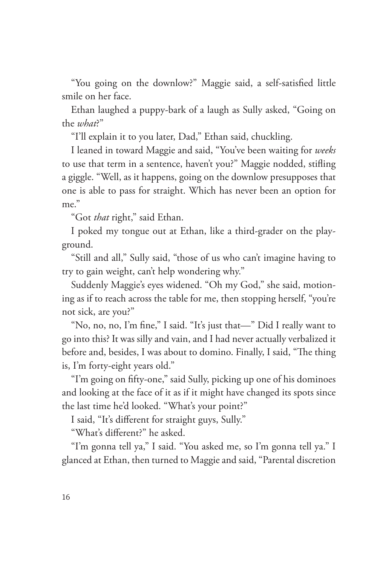"You going on the downlow?" Maggie said, a self-satisfied little smile on her face.

Ethan laughed a puppy-bark of a laugh as Sully asked, "Going on the *what*?"

"I'll explain it to you later, Dad," Ethan said, chuckling.

I leaned in toward Maggie and said, "You've been waiting for *weeks* to use that term in a sentence, haven't you?" Maggie nodded, stifling a giggle. "Well, as it happens, going on the downlow presupposes that one is able to pass for straight. Which has never been an option for me."

"Got *that* right," said Ethan.

I poked my tongue out at Ethan, like a third-grader on the playground.

"Still and all," Sully said, "those of us who can't imagine having to try to gain weight, can't help wondering why."

Suddenly Maggie's eyes widened. "Oh my God," she said, motioning as if to reach across the table for me, then stopping herself, "you're not sick, are you?"

"No, no, no, I'm fine," I said. "It's just that—" Did I really want to go into this? It was silly and vain, and I had never actually verbalized it before and, besides, I was about to domino. Finally, I said, "The thing is, I'm forty-eight years old."

"I'm going on fifty-one," said Sully, picking up one of his dominoes and looking at the face of it as if it might have changed its spots since the last time he'd looked. "What's your point?"

I said, "It's different for straight guys, Sully."

"What's different?" he asked.

"I'm gonna tell ya," I said. "You asked me, so I'm gonna tell ya." I glanced at Ethan, then turned to Maggie and said, "Parental discretion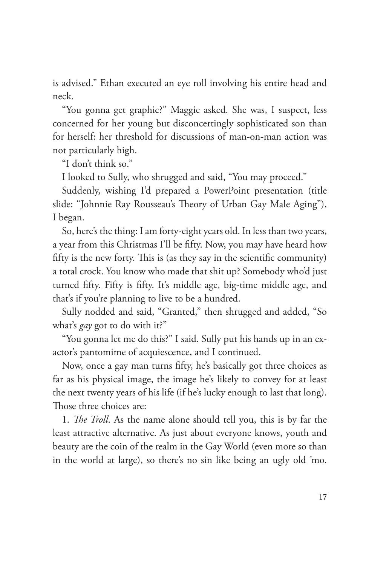is advised." Ethan executed an eye roll involving his entire head and neck.

"You gonna get graphic?" Maggie asked. She was, I suspect, less concerned for her young but disconcertingly sophisticated son than for herself: her threshold for discussions of man-on-man action was not particularly high.

"I don't think so."

I looked to Sully, who shrugged and said, "You may proceed."

Suddenly, wishing I'd prepared a PowerPoint presentation (title slide: "Johnnie Ray Rousseau's Theory of Urban Gay Male Aging"), I began.

So, here's the thing: I am forty-eight years old. In less than two years, a year from this Christmas I'll be fifty. Now, you may have heard how fifty is the new forty. This is (as they say in the scientific community) a total crock. You know who made that shit up? Somebody who'd just turned fifty. Fifty is fifty. It's middle age, big-time middle age, and that's if you're planning to live to be a hundred.

Sully nodded and said, "Granted," then shrugged and added, "So what's *gay* got to do with it?"

"You gonna let me do this?" I said. Sully put his hands up in an exactor's pantomime of acquiescence, and I continued.

Now, once a gay man turns fifty, he's basically got three choices as far as his physical image, the image he's likely to convey for at least the next twenty years of his life (if he's lucky enough to last that long). Those three choices are:

1. *The Troll*. As the name alone should tell you, this is by far the least attractive alternative. As just about everyone knows, youth and beauty are the coin of the realm in the Gay World (even more so than in the world at large), so there's no sin like being an ugly old 'mo.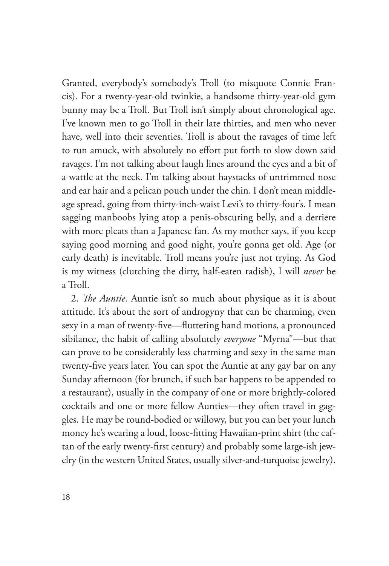Granted, everybody's somebody's Troll (to misquote Connie Francis). For a twenty-year-old twinkie, a handsome thirty-year-old gym bunny may be a Troll. But Troll isn't simply about chronological age. I've known men to go Troll in their late thirties, and men who never have, well into their seventies. Troll is about the ravages of time left to run amuck, with absolutely no effort put forth to slow down said ravages. I'm not talking about laugh lines around the eyes and a bit of a wattle at the neck. I'm talking about haystacks of untrimmed nose and ear hair and a pelican pouch under the chin. I don't mean middleage spread, going from thirty-inch-waist Levi's to thirty-four's. I mean sagging manboobs lying atop a penis-obscuring belly, and a derriere with more pleats than a Japanese fan. As my mother says, if you keep saying good morning and good night, you're gonna get old. Age (or early death) is inevitable. Troll means you're just not trying. As God is my witness (clutching the dirty, half-eaten radish), I will *never* be a Troll.

2. *The Auntie*. Auntie isn't so much about physique as it is about attitude. It's about the sort of androgyny that can be charming, even sexy in a man of twenty-five—fluttering hand motions, a pronounced sibilance, the habit of calling absolutely *everyone* "Myrna"—but that can prove to be considerably less charming and sexy in the same man twenty-five years later. You can spot the Auntie at any gay bar on any Sunday afternoon (for brunch, if such bar happens to be appended to a restaurant), usually in the company of one or more brightly-colored cocktails and one or more fellow Aunties—they often travel in gaggles. He may be round-bodied or willowy, but you can bet your lunch money he's wearing a loud, loose-fitting Hawaiian-print shirt (the caftan of the early twenty-first century) and probably some large-ish jewelry (in the western United States, usually silver-and-turquoise jewelry).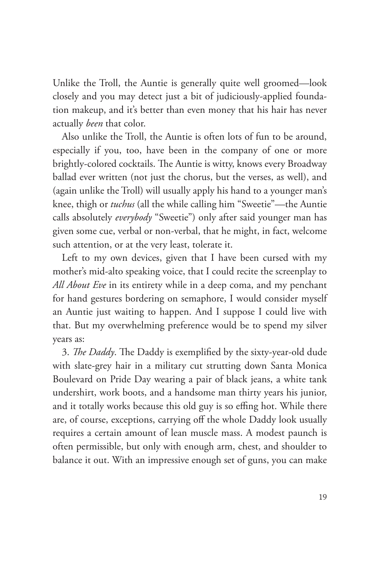Unlike the Troll, the Auntie is generally quite well groomed—look closely and you may detect just a bit of judiciously-applied foundation makeup, and it's better than even money that his hair has never actually *been* that color.

Also unlike the Troll, the Auntie is often lots of fun to be around, especially if you, too, have been in the company of one or more brightly-colored cocktails. The Auntie is witty, knows every Broadway ballad ever written (not just the chorus, but the verses, as well), and (again unlike the Troll) will usually apply his hand to a younger man's knee, thigh or *tuchus* (all the while calling him "Sweetie"—the Auntie calls absolutely *everybody* "Sweetie") only after said younger man has given some cue, verbal or non-verbal, that he might, in fact, welcome such attention, or at the very least, tolerate it.

Left to my own devices, given that I have been cursed with my mother's mid-alto speaking voice, that I could recite the screenplay to *All About Eve* in its entirety while in a deep coma, and my penchant for hand gestures bordering on semaphore, I would consider myself an Auntie just waiting to happen. And I suppose I could live with that. But my overwhelming preference would be to spend my silver years as:

3. *The Daddy*. The Daddy is exemplified by the sixty-year-old dude with slate-grey hair in a military cut strutting down Santa Monica Boulevard on Pride Day wearing a pair of black jeans, a white tank undershirt, work boots, and a handsome man thirty years his junior, and it totally works because this old guy is so effing hot. While there are, of course, exceptions, carrying off the whole Daddy look usually requires a certain amount of lean muscle mass. A modest paunch is often permissible, but only with enough arm, chest, and shoulder to balance it out. With an impressive enough set of guns, you can make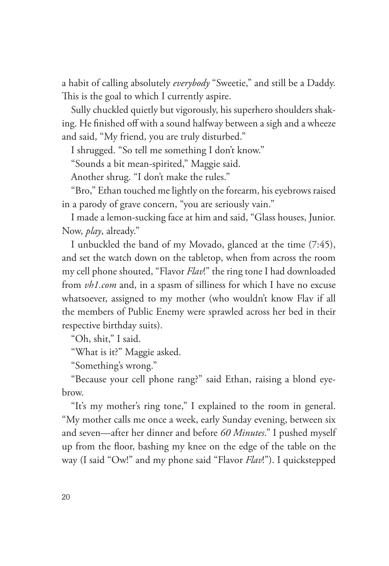a habit of calling absolutely *everybody* "Sweetie," and still be a Daddy. This is the goal to which I currently aspire.

Sully chuckled quietly but vigorously, his superhero shoulders shaking. He finished off with a sound halfway between a sigh and a wheeze and said, "My friend, you are truly disturbed."

I shrugged. "So tell me something I don't know."

"Sounds a bit mean-spirited," Maggie said.

Another shrug. "I don't make the rules."

"Bro," Ethan touched me lightly on the forearm, his eyebrows raised in a parody of grave concern, "you are seriously vain."

I made a lemon-sucking face at him and said, "Glass houses, Junior. Now, *play*, already."

I unbuckled the band of my Movado, glanced at the time (7:45), and set the watch down on the tabletop, when from across the room my cell phone shouted, "Flavor *Flav*!" the ring tone I had downloaded from *vh1.com* and, in a spasm of silliness for which I have no excuse whatsoever, assigned to my mother (who wouldn't know Flav if all the members of Public Enemy were sprawled across her bed in their respective birthday suits).

"Oh, shit," I said.

"What is it?" Maggie asked.

"Something's wrong."

"Because your cell phone rang?" said Ethan, raising a blond eyebrow.

"It's my mother's ring tone," I explained to the room in general. "My mother calls me once a week, early Sunday evening, between six and seven—after her dinner and before *60 Minutes*." I pushed myself up from the floor, bashing my knee on the edge of the table on the way (I said "Ow!" and my phone said "Flavor *Flav*!"). I quickstepped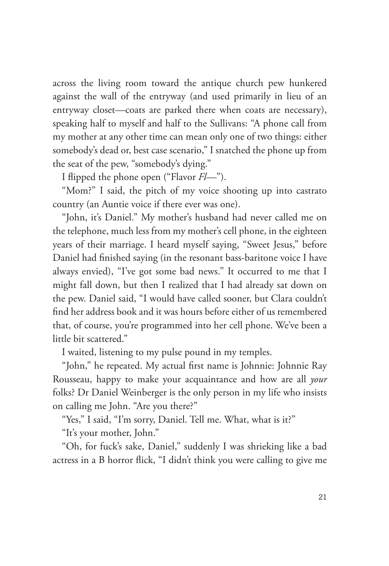across the living room toward the antique church pew hunkered against the wall of the entryway (and used primarily in lieu of an entryway closet—coats are parked there when coats are necessary), speaking half to myself and half to the Sullivans: "A phone call from my mother at any other time can mean only one of two things: either somebody's dead or, best case scenario," I snatched the phone up from the seat of the pew, "somebody's dying."

I flipped the phone open ("Flavor *Fl—*").

"Mom?" I said, the pitch of my voice shooting up into castrato country (an Auntie voice if there ever was one).

"John, it's Daniel." My mother's husband had never called me on the telephone, much less from my mother's cell phone, in the eighteen years of their marriage. I heard myself saying, "Sweet Jesus," before Daniel had finished saying (in the resonant bass-baritone voice I have always envied), "I've got some bad news." It occurred to me that I might fall down, but then I realized that I had already sat down on the pew. Daniel said, "I would have called sooner, but Clara couldn't find her address book and it was hours before either of us remembered that, of course, you're programmed into her cell phone. We've been a little bit scattered."

I waited, listening to my pulse pound in my temples.

"John," he repeated. My actual first name is Johnnie: Johnnie Ray Rousseau, happy to make your acquaintance and how are all *your* folks? Dr Daniel Weinberger is the only person in my life who insists on calling me John. "Are you there?"

"Yes," I said, "I'm sorry, Daniel. Tell me. What, what is it?"

"It's your mother, John."

"Oh, for fuck's sake, Daniel," suddenly I was shrieking like a bad actress in a B horror flick, "I didn't think you were calling to give me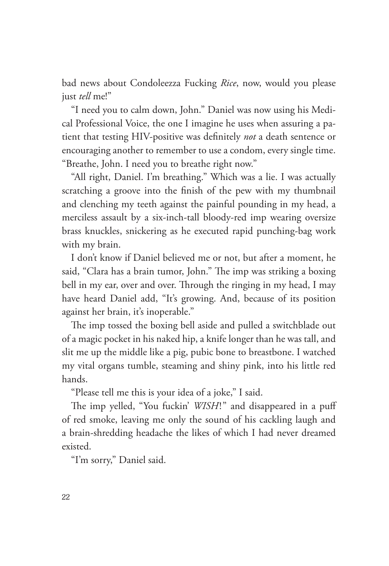bad news about Condoleezza Fucking *Rice*, now, would you please just *tell* me!"

"I need you to calm down, John." Daniel was now using his Medical Professional Voice, the one I imagine he uses when assuring a patient that testing HIV-positive was definitely *not* a death sentence or encouraging another to remember to use a condom, every single time. "Breathe, John. I need you to breathe right now."

"All right, Daniel. I'm breathing." Which was a lie. I was actually scratching a groove into the finish of the pew with my thumbnail and clenching my teeth against the painful pounding in my head, a merciless assault by a six-inch-tall bloody-red imp wearing oversize brass knuckles, snickering as he executed rapid punching-bag work with my brain.

I don't know if Daniel believed me or not, but after a moment, he said, "Clara has a brain tumor, John." The imp was striking a boxing bell in my ear, over and over. Through the ringing in my head, I may have heard Daniel add, "It's growing. And, because of its position against her brain, it's inoperable."

The imp tossed the boxing bell aside and pulled a switchblade out of a magic pocket in his naked hip, a knife longer than he was tall, and slit me up the middle like a pig, pubic bone to breastbone. I watched my vital organs tumble, steaming and shiny pink, into his little red hands.

"Please tell me this is your idea of a joke," I said.

The imp yelled, "You fuckin' *WISH*!" and disappeared in a puff of red smoke, leaving me only the sound of his cackling laugh and a brain-shredding headache the likes of which I had never dreamed existed.

"I'm sorry," Daniel said.